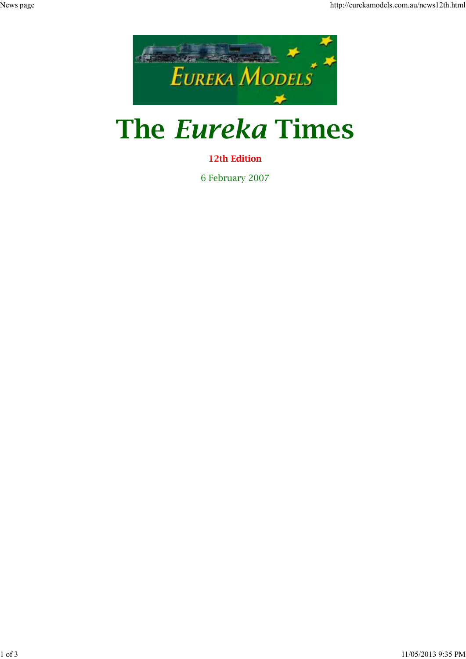

## **The** *Eureka* **Times**

## **12th Edition**

6 February 2007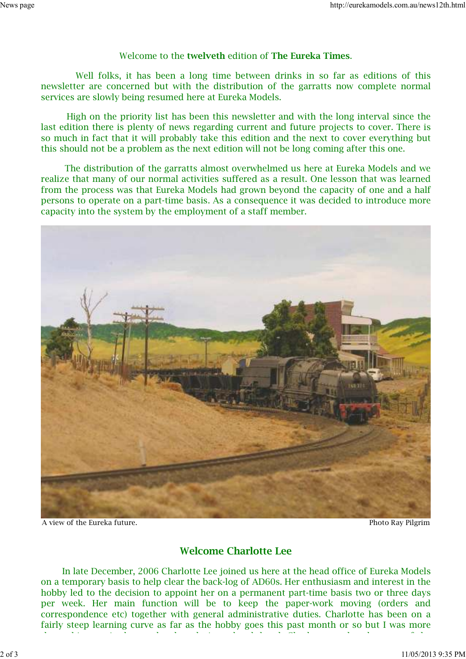## Welcome to the **twelveth** edition of **The Eureka Times**.

 Well folks, it has been a long time between drinks in so far as editions of this newsletter are concerned but with the distribution of the garratts now complete normal services are slowly being resumed here at Eureka Models.

 High on the priority list has been this newsletter and with the long interval since the last edition there is plenty of news regarding current and future projects to cover. There is so much in fact that it will probably take this edition and the next to cover everything but this should not be a problem as the next edition will not be long coming after this one.

 The distribution of the garratts almost overwhelmed us here at Eureka Models and we realize that many of our normal activities suffered as a result. One lesson that was learned from the process was that Eureka Models had grown beyond the capacity of one and a half persons to operate on a part-time basis. As a consequence it was decided to introduce more capacity into the system by the employment of a staff member.



A view of the Eureka future. Photo Ray Pilgrim

## **Welcome Charlotte Lee**

 In late December, 2006 Charlotte Lee joined us here at the head office of Eureka Models on a temporary basis to help clear the back-log of AD60s. Her enthusiasm and interest in the hobby led to the decision to appoint her on a permanent part-time basis two or three days per week. Her main function will be to keep the paper-work moving (orders and correspondence etc) together with general administrative duties. Charlotte has been on a fairly steep learning curve as far as the hobby goes this past month or so but I was more than a bit surprised recently when during a lunch break Charlotte produced a copy of the